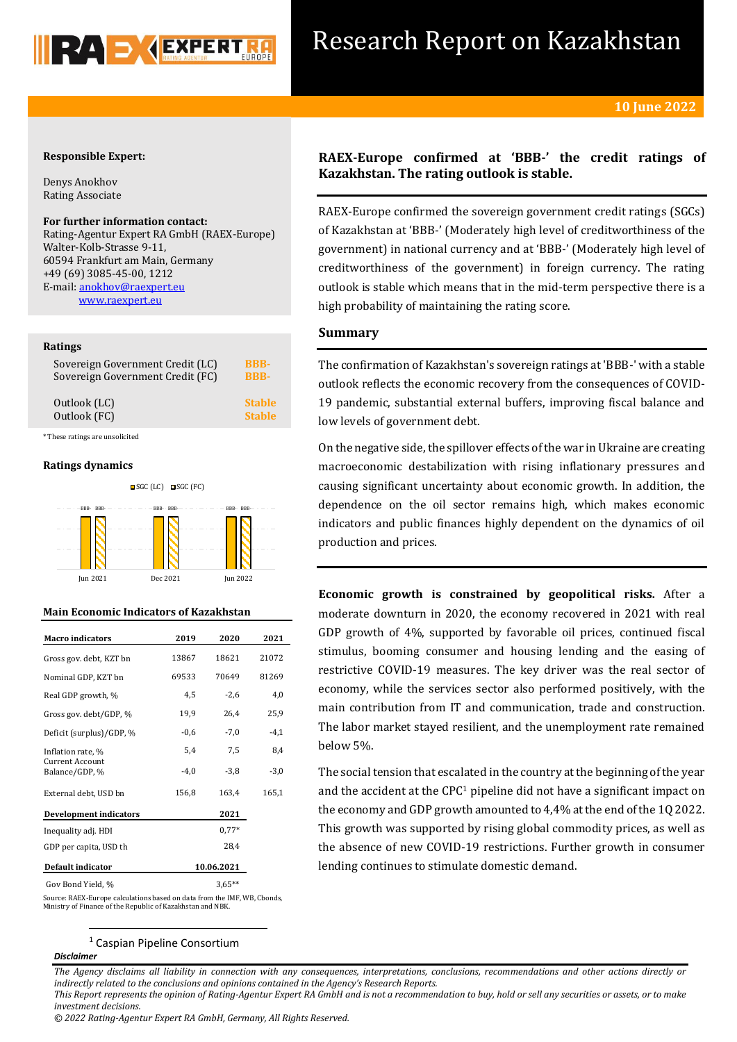

# Research Report on Kazakhstan

## **Responsible Expert:**

Denys Anokhov Rating Associate

## **For further information contact:**

Rating-Agentur Expert RA GmbH (RAEX-Europe) Walter-Kolb-Strasse 9-11, 60594 Frankfurt am Main, Germany +49 (69) 3085-45-00, 1212 E-mail[: anokhov@raexpert.eu](file:///C:/Users/hectoralvarez/Downloads/anokhov@raexpert.eu)  [www.raexpert.eu](http://raexpert.eu/)

## **Ratings**

| Sovereign Government Credit (LC) | BBB-          |
|----------------------------------|---------------|
| Sovereign Government Credit (FC) | <b>BBB-</b>   |
| Outlook (LC)                     | <b>Stable</b> |
| Outlook (FC)                     | <b>Stable</b> |

\* These ratings are unsolicited

## **Ratings dynamics**



## **Main Economic Indicators of Kazakhstan**

| <b>Macro</b> indicators           | 2019       | 2020    | 2021   |
|-----------------------------------|------------|---------|--------|
| Gross gov. debt, KZT bn           | 13867      | 18621   | 21072  |
| Nominal GDP, KZT bn               | 69533      | 70649   | 81269  |
| Real GDP growth, %                | 4,5        | $-2,6$  | 4,0    |
| Gross gov. debt/GDP, %            | 19,9       | 26,4    | 25,9   |
| Deficit (surplus)/GDP, %          | $-0,6$     | $-7,0$  | $-4,1$ |
| Inflation rate, %                 | 5,4        | 7,5     | 8,4    |
| Current Account<br>Balance/GDP, % | $-4,0$     | $-3,8$  | $-3,0$ |
| External debt, USD bn             | 156,8      | 163,4   | 165,1  |
| Development indicators            |            | 2021    |        |
| Inequality adj. HDI               |            | $0.77*$ |        |
| GDP per capita, USD th            |            | 28,4    |        |
| Default indicator                 | 10.06.2021 |         |        |
| Gov Bond Yield. %                 |            |         |        |

**.** 

Source: RAEX-Europe calculations based on data from the IMF, WB, Cbonds, Ministry of Finance of the Republic of Kazakhstan and NBK.

## <sup>1</sup> Caspian Pipeline Consortium

#### *Disclaimer*

*The Agency disclaims all liability in connection with any consequences, interpretations, conclusions, recommendations and other actions directly or indirectly related to the conclusions and opinions contained in the Agency's Research Reports.*

*This Report represents the opinion of Rating-Agentur Expert RA GmbH and is not a recommendation to buy, hold or sell any securities or assets, or to make investment decisions.*

*© 2022 Rating-Agentur Expert RA GmbH, Germany, All Rights Reserved.*

## **RAEX-Europe confirmed at 'BBB-' the credit ratings of Kazakhstan. The rating outlook is stable.**

RAEX-Europe confirmed the sovereign government credit ratings (SGCs) of Kazakhstan at 'BBB-' (Moderately high level of creditworthiness of the government) in national currency and at 'BBB-' (Moderately high level of creditworthiness of the government) in foreign currency. The rating outlook is stable which means that in the mid-term perspective there is a high probability of maintaining the rating score.

## **Summary**

The confirmation of Kazakhstan's sovereign ratings at 'BBB-' with a stable outlook reflects the economic recovery from the consequences of COVID-19 pandemic, substantial external buffers, improving fiscal balance and low levels of government debt.

On the negative side, the spillover effects of the war in Ukraine are creating macroeconomic destabilization with rising inflationary pressures and causing significant uncertainty about economic growth. In addition, the dependence on the oil sector remains high, which makes economic indicators and public finances highly dependent on the dynamics of oil production and prices.

**Economic growth is constrained by geopolitical risks.** After a moderate downturn in 2020, the economy recovered in 2021 with real GDP growth of 4%, supported by favorable oil prices, continued fiscal stimulus, booming consumer and housing lending and the easing of restrictive COVID-19 measures. The key driver was the real sector of economy, while the services sector also performed positively, with the main contribution from IT and communication, trade and construction. The labor market stayed resilient, and the unemployment rate remained below 5%.

The social tension that escalated in the country at the beginning of the year and the accident at the CPC<sup>1</sup> pipeline did not have a significant impact on the economy and GDP growth amounted to 4,4% at the end of the 1Q 2022. This growth was supported by rising global commodity prices, as well as the absence of new COVID-19 restrictions. Further growth in consumer lending continues to stimulate domestic demand.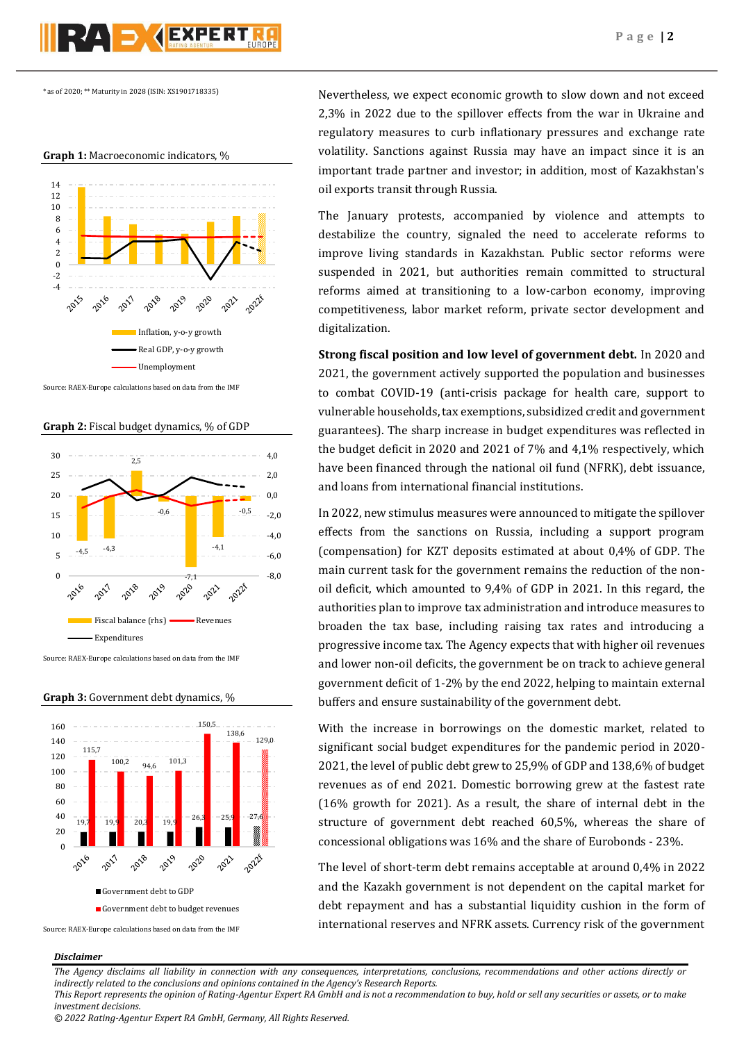\* as of 2020; \*\* Maturity in 2028 (ISIN: XS1901718335)

PZA DYCEXPERT

**Graph 1:** Macroeconomic indicators, %



Source: RAEX-Europe calculations based on data from the IMF

**Graph 2:** Fiscal budget dynamics, % of GDP



Source: RAEX-Europe calculations based on data from the IMF

**Graph 3:** Government debt dynamics, %



Source: RAEX-Europe calculations based on data from the IMF

*Disclaimer* 

Nevertheless, we expect economic growth to slow down and not exceed 2,3% in 2022 due to the spillover effects from the war in Ukraine and regulatory measures to curb inflationary pressures and exchange rate volatility. Sanctions against Russia may have an impact since it is an important trade partner and investor; in addition, most of Kazakhstan's oil exports transit through Russia.

The January protests, accompanied by violence and attempts to destabilize the country, signaled the need to accelerate reforms to improve living standards in Kazakhstan. Public sector reforms were suspended in 2021, but authorities remain committed to structural reforms aimed at transitioning to a low-carbon economy, improving competitiveness, labor market reform, private sector development and digitalization.

**Strong fiscal position and low level of government debt.** In 2020 and 2021, the government actively supported the population and businesses to combat COVID-19 (anti-crisis package for health care, support to vulnerable households, tax exemptions, subsidized credit and government guarantees). The sharp increase in budget expenditures was reflected in the budget deficit in 2020 and 2021 of 7% and 4,1% respectively, which have been financed through the national oil fund (NFRK), debt issuance, and loans from international financial institutions.

In 2022, new stimulus measures were announced to mitigate the spillover effects from the sanctions on Russia, including a support program (compensation) for KZT deposits estimated at about 0,4% of GDP. The main current task for the government remains the reduction of the nonoil deficit, which amounted to 9,4% of GDP in 2021. In this regard, the authorities plan to improve tax administration and introduce measures to broaden the tax base, including raising tax rates and introducing a progressive income tax. The Agency expects that with higher oil revenues and lower non-oil deficits, the government be on track to achieve general government deficit of 1-2% by the end 2022, helping to maintain external buffers and ensure sustainability of the government debt.

With the increase in borrowings on the domestic market, related to significant social budget expenditures for the pandemic period in 2020- 2021, the level of public debt grew to 25,9% of GDP and 138,6% of budget revenues as of end 2021. Domestic borrowing grew at the fastest rate (16% growth for 2021). As a result, the share of internal debt in the structure of government debt reached 60,5%, whereas the share of concessional obligations was 16% and the share of Eurobonds - 23%.

The level of short-term debt remains acceptable at around 0,4% in 2022 and the Kazakh government is not dependent on the capital market for debt repayment and has a substantial liquidity cushion in the form of international reserves and NFRK assets. Currency risk of the government

*The Agency disclaims all liability in connection with any consequences, interpretations, conclusions, recommendations and other actions directly or indirectly related to the conclusions and opinions contained in the Agency's Research Reports. This Report represents the opinion of Rating-Agentur Expert RA GmbH and is not a recommendation to buy, hold or sell any securities or assets, or to make* 

*investment decisions.*

*© 2022 Rating-Agentur Expert RA GmbH, Germany, All Rights Reserved.*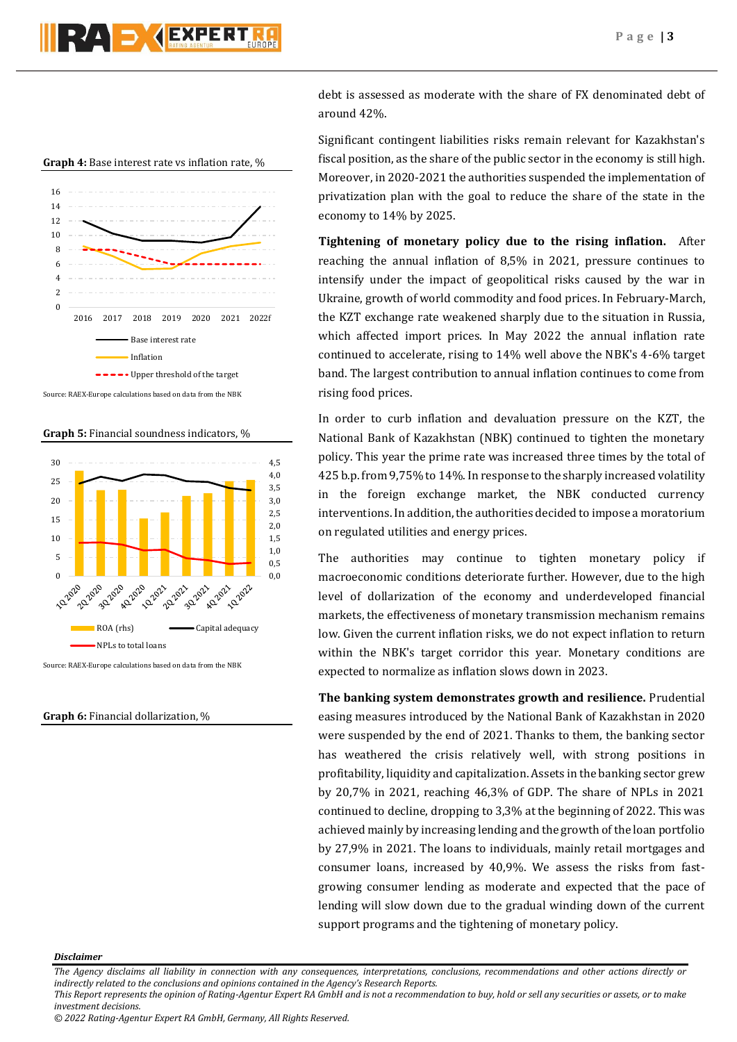



Source: RAEX-Europe calculations based on data from the NBK

**Graph 5:** Financial soundness indicators, %



Source: RAEX-Europe calculations based on data from the NBK

## **Graph 6:** Financial dollarization, %

debt is assessed as moderate with the share of FX denominated debt of around 42%.

Significant contingent liabilities risks remain relevant for Kazakhstan's fiscal position, as the share of the public sector in the economy is still high. Moreover, in 2020-2021 the authorities suspended the implementation of privatization plan with the goal to reduce the share of the state in the economy to 14% by 2025.

**Tightening of monetary policy due to the rising inflation.** After reaching the annual inflation of 8,5% in 2021, pressure continues to intensify under the impact of geopolitical risks caused by the war in Ukraine, growth of world commodity and food prices. In February-March, the KZT exchange rate weakened sharply due to the situation in Russia, which affected import prices. In May 2022 the annual inflation rate continued to accelerate, rising to 14% well above the NBK's 4-6% target band. The largest contribution to annual inflation continues to come from rising food prices.

In order to curb inflation and devaluation pressure on the KZT, the National Bank of Kazakhstan (NBK) continued to tighten the monetary policy. This year the prime rate was increased three times by the total of 425 b.p. from 9,75% to 14%. In response to the sharply increased volatility in the foreign exchange market, the NBK conducted currency interventions. In addition, the authorities decided to impose a moratorium on regulated utilities and energy prices.

The authorities may continue to tighten monetary policy if macroeconomic conditions deteriorate further. However, due to the high level of dollarization of the economy and underdeveloped financial markets, the effectiveness of monetary transmission mechanism remains low. Given the current inflation risks, we do not expect inflation to return within the NBK's target corridor this year. Monetary conditions are expected to normalize as inflation slows down in 2023.

**The banking system demonstrates growth and resilience.** Prudential easing measures introduced by the National Bank of Kazakhstan in 2020 were suspended by the end of 2021. Thanks to them, the banking sector has weathered the crisis relatively well, with strong positions in profitability, liquidity and capitalization. Assets in the banking sector grew by 20,7% in 2021, reaching 46,3% of GDP. The share of NPLs in 2021 continued to decline, dropping to 3,3% at the beginning of 2022. This was achieved mainly by increasing lending and the growth of the loan portfolio by 27,9% in 2021. The loans to individuals, mainly retail mortgages and consumer loans, increased by 40,9%. We assess the risks from fastgrowing consumer lending as moderate and expected that the pace of lending will slow down due to the gradual winding down of the current support programs and the tightening of monetary policy.

#### *Disclaimer*

*The Agency disclaims all liability in connection with any consequences, interpretations, conclusions, recommendations and other actions directly or indirectly related to the conclusions and opinions contained in the Agency's Research Reports.*

*This Report represents the opinion of Rating-Agentur Expert RA GmbH and is not a recommendation to buy, hold or sell any securities or assets, or to make investment decisions.*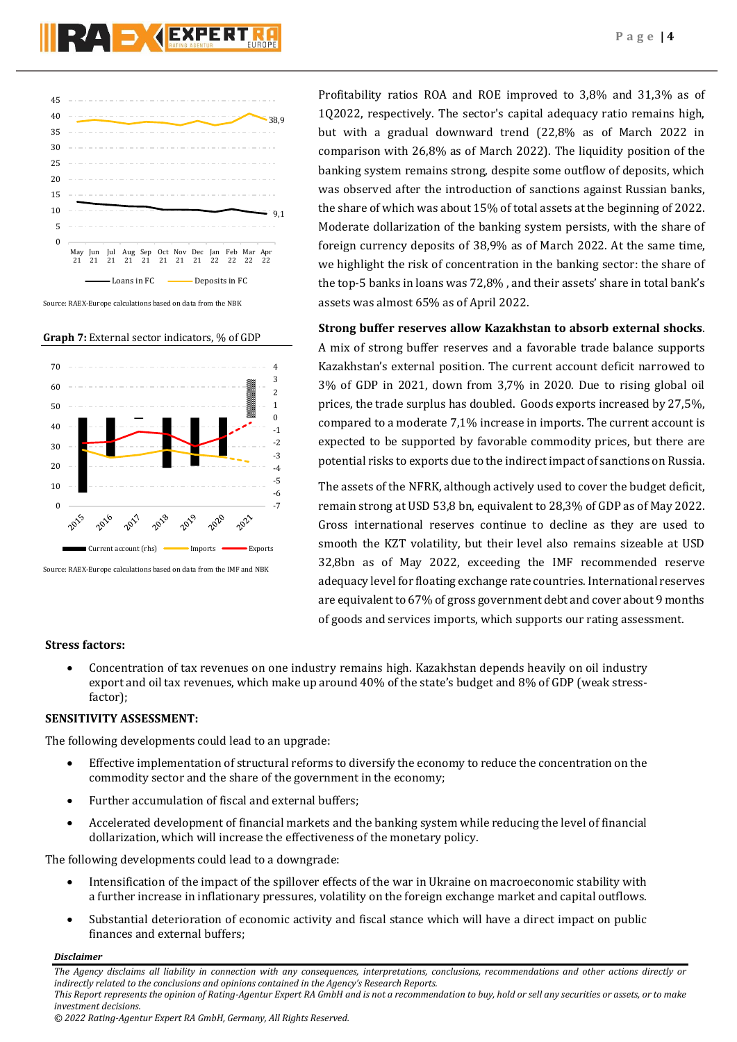

**Graph 7:** External sector indicators, % of GDP



Source: RAEX-Europe calculations based on data from the IMF and NBK

Profitability ratios ROA and ROE improved to 3,8% and 31,3% as of 1Q2022, respectively. The sector's capital adequacy ratio remains high, but with a gradual downward trend (22,8% as of March 2022 in comparison with 26,8% as of March 2022). The liquidity position of the banking system remains strong, despite some outflow of deposits, which was observed after the introduction of sanctions against Russian banks, the share of which was about 15% of total assets at the beginning of 2022. Moderate dollarization of the banking system persists, with the share of foreign currency deposits of 38,9% as of March 2022. At the same time, we highlight the risk of concentration in the banking sector: the share of the top-5 banks in loans was 72,8% , and their assets' share in total bank's assets was almost 65% as of April 2022.

**Strong buffer reserves allow Kazakhstan to absorb external shocks**. A mix of strong buffer reserves and a favorable trade balance supports Kazakhstan's external position. The current account deficit narrowed to 3% of GDP in 2021, down from 3,7% in 2020. Due to rising global oil prices, the trade surplus has doubled. Goods exports increased by 27,5%, compared to a moderate 7,1% increase in imports. The current account is expected to be supported by favorable commodity prices, but there are potential risks to exports due to the indirect impact of sanctions on Russia.

The assets of the NFRK, although actively used to cover the budget deficit, remain strong at USD 53,8 bn, equivalent to 28,3% of GDP as of May 2022. Gross international reserves continue to decline as they are used to smooth the KZT volatility, but their level also remains sizeable at USD 32,8bn as of May 2022, exceeding the IMF recommended reserve adequacy level for floating exchange rate countries. International reserves are equivalent to 67% of gross government debt and cover about 9 months of goods and services imports, which supports our rating assessment.

## **Stress factors:**

 Concentration of tax revenues on one industry remains high. Kazakhstan depends heavily on oil industry export and oil tax revenues, which make up around 40% of the state's budget and 8% of GDP (weak stressfactor);

## **SENSITIVITY ASSESSMENT:**

The following developments could lead to an upgrade:

- Effective implementation of structural reforms to diversify the economy to reduce the concentration on the commodity sector and the share of the government in the economy;
- Further accumulation of fiscal and external buffers;
- Accelerated development of financial markets and the banking system while reducing the level of financial dollarization, which will increase the effectiveness of the monetary policy.

The following developments could lead to a downgrade:

- Intensification of the impact of the spillover effects of the war in Ukraine on macroeconomic stability with a further increase in inflationary pressures, volatility on the foreign exchange market and capital outflows.
- Substantial deterioration of economic activity and fiscal stance which will have a direct impact on public finances and external buffers;

## *Disclaimer*

*The Agency disclaims all liability in connection with any consequences, interpretations, conclusions, recommendations and other actions directly or indirectly related to the conclusions and opinions contained in the Agency's Research Reports.*

*This Report represents the opinion of Rating-Agentur Expert RA GmbH and is not a recommendation to buy, hold or sell any securities or assets, or to make investment decisions.*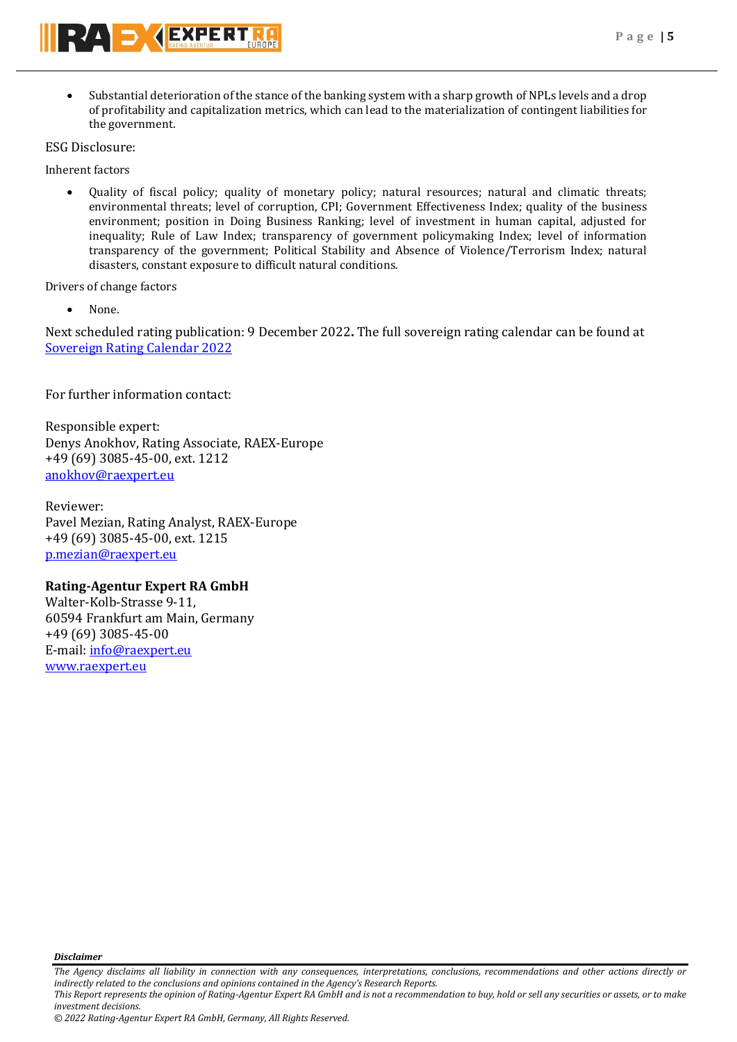Substantial deterioration of the stance of the banking system with a sharp growth of NPLs levels and a drop of profitability and capitalization metrics, which can lead to the materialization of contingent liabilities for the government.

ESG Disclosure:

Inherent factors

 Quality of fiscal policy; quality of monetary policy; natural resources; natural and climatic threats; environmental threats; level of corruption, CPI; Government Effectiveness Index; quality of the business environment; position in Doing Business Ranking; level of investment in human capital, adjusted for inequality; Rule of Law Index; transparency of government policymaking Index; level of information transparency of the government; Political Stability and Absence of Violence/Terrorism Index; natural disasters, constant exposure to difficult natural conditions.

Drivers of change factors

None.

Next scheduled rating publication: 9 December 2022**.** The full sovereign rating calendar can be found at [Sovereign Rating Calendar 2022](https://raexpert.eu/sovereign/#conf-tab-5)

For further information contact:

Responsible expert: Denys Anokhov, Rating Associate, RAEX-Europe +49 (69) 3085-45-00, ext. 1212 [anokhov@raexpert.eu](mailto:anokhov@raexpert.eu)

Reviewer: Pavel Mezian, Rating Analyst, RAEX-Europe +49 (69) 3085-45-00, ext. 1215 [p.mezian@raexpert.eu](mailto:p.mezian@raexpert.eu)

## **Rating-Agentur Expert RA GmbH**

Walter-Kolb-Strasse 9-11, 60594 Frankfurt am Main, Germany +49 (69) 3085-45-00 E-mail[: info@raexpert.eu](mailto:info@raexpert.eu) [www.raexpert.eu](http://raexpert.eu/)

*Disclaimer* 

*The Agency disclaims all liability in connection with any consequences, interpretations, conclusions, recommendations and other actions directly or indirectly related to the conclusions and opinions contained in the Agency's Research Reports. This Report represents the opinion of Rating-Agentur Expert RA GmbH and is not a recommendation to buy, hold or sell any securities or assets, or to make* 

*investment decisions.*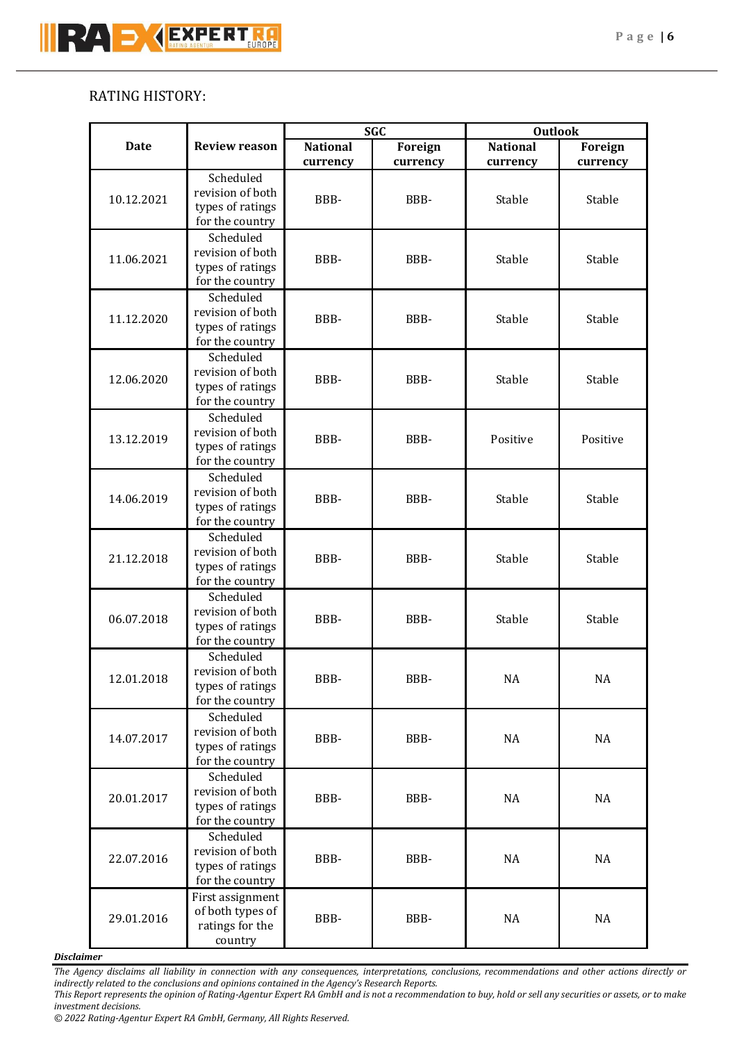# RATING HISTORY:

|             |                                      | <b>SGC</b>       |                                      | <b>Outlook</b>  |                |        |
|-------------|--------------------------------------|------------------|--------------------------------------|-----------------|----------------|--------|
| <b>Date</b> | <b>Review reason</b>                 | <b>National</b>  | Foreign                              | <b>National</b> | <b>Foreign</b> |        |
|             | Scheduled                            | currency         | currency                             | currency        | currency       |        |
|             | revision of both                     |                  |                                      |                 | Stable         |        |
| 10.12.2021  | types of ratings                     | BBB-             | BBB-                                 | Stable          |                |        |
|             | for the country                      |                  |                                      |                 |                |        |
|             | Scheduled                            |                  |                                      |                 |                |        |
|             | revision of both                     | BBB-             |                                      |                 |                |        |
| 11.06.2021  | types of ratings                     |                  | BBB-                                 | Stable          | Stable         |        |
|             | for the country                      |                  |                                      |                 |                |        |
|             | Scheduled                            |                  |                                      |                 |                |        |
| 11.12.2020  | revision of both                     |                  | BBB-                                 | BBB-            | Stable         | Stable |
|             | types of ratings                     |                  |                                      |                 |                |        |
|             | for the country                      |                  |                                      |                 |                |        |
|             | Scheduled                            |                  | BBB-                                 | Stable          | Stable         |        |
| 12.06.2020  | revision of both<br>types of ratings | BBB-             |                                      |                 |                |        |
|             | for the country                      |                  |                                      |                 |                |        |
|             | Scheduled                            |                  |                                      |                 |                |        |
|             | revision of both                     |                  |                                      |                 |                |        |
| 13.12.2019  | types of ratings                     |                  | BBB-<br>BBB-                         | Positive        | Positive       |        |
|             | for the country                      |                  |                                      |                 |                |        |
|             | Scheduled                            |                  |                                      |                 |                |        |
| 14.06.2019  | revision of both                     | BBB-             | BBB-                                 | Stable          | Stable         |        |
|             | types of ratings                     |                  |                                      |                 |                |        |
|             | for the country                      |                  |                                      |                 |                |        |
|             | Scheduled                            | BBB-             |                                      |                 |                |        |
| 21.12.2018  | revision of both                     |                  | BBB-                                 | Stable          | Stable         |        |
|             | types of ratings                     |                  |                                      |                 |                |        |
|             | for the country<br>Scheduled         |                  |                                      |                 |                |        |
|             | revision of both                     | BBB-             |                                      | BBB-            | Stable         | Stable |
| 06.07.2018  | types of ratings                     |                  |                                      |                 |                |        |
|             |                                      | for the country  |                                      |                 |                |        |
| 12.01.2018  | Scheduled                            | BBB-             |                                      |                 |                |        |
|             | revision of both                     |                  |                                      | NA              | NA             |        |
|             | types of ratings                     |                  |                                      | BBB-            |                |        |
|             | for the country                      |                  |                                      |                 |                |        |
|             | Scheduled                            | BBB-             | revision of both<br>types of ratings |                 |                |        |
| 14.07.2017  |                                      |                  |                                      | BBB-            | NA             | NA     |
|             |                                      |                  |                                      |                 |                |        |
| 20.01.2017  | for the country<br>Scheduled         | BBB-             |                                      |                 |                |        |
|             | revision of both                     |                  |                                      |                 |                |        |
|             | types of ratings                     |                  | BBB-                                 | <b>NA</b>       | NA             |        |
|             | for the country                      |                  |                                      |                 |                |        |
| 22.07.2016  | Scheduled<br>revision of both        | BBB-             |                                      |                 |                |        |
|             |                                      |                  |                                      |                 |                |        |
|             | types of ratings                     |                  |                                      | BBB-            | NA             | NA     |
|             | for the country                      |                  |                                      |                 |                |        |
| 29.01.2016  | First assignment                     |                  |                                      |                 |                |        |
|             |                                      | of both types of | BBB-                                 | BBB-            | NA             | NA     |
|             | ratings for the                      |                  |                                      |                 |                |        |
|             | country                              |                  |                                      |                 |                |        |

*Disclaimer* 

*The Agency disclaims all liability in connection with any consequences, interpretations, conclusions, recommendations and other actions directly or indirectly related to the conclusions and opinions contained in the Agency's Research Reports.*

*© 2022 Rating-Agentur Expert RA GmbH, Germany, All Rights Reserved.*